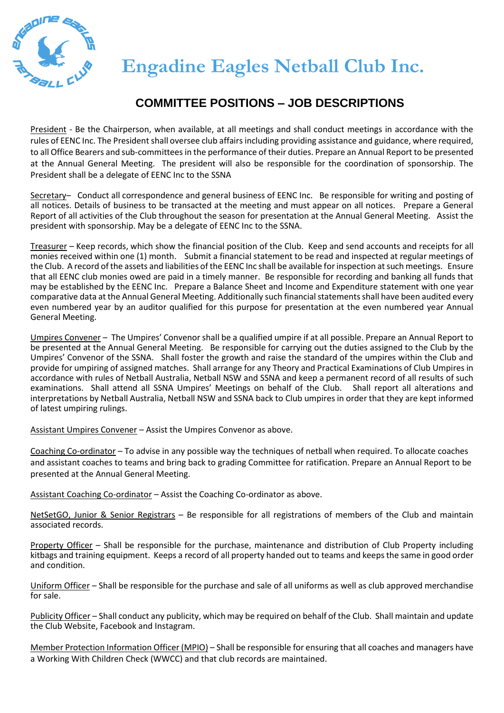

## **COMMITTEE POSITIONS – JOB DESCRIPTIONS**

President - Be the Chairperson, when available, at all meetings and shall conduct meetings in accordance with the rules of EENC Inc. The President shall oversee club affairs including providing assistance and guidance, where required, to all Office Bearers and sub-committees in the performance of their duties. Prepare an Annual Report to be presented at the Annual General Meeting. The president will also be responsible for the coordination of sponsorship. The President shall be a delegate of EENC Inc to the SSNA

Secretary– Conduct all correspondence and general business of EENC Inc. Be responsible for writing and posting of all notices. Details of business to be transacted at the meeting and must appear on all notices. Prepare a General Report of all activities of the Club throughout the season for presentation at the Annual General Meeting. Assist the president with sponsorship. May be a delegate of EENC Inc to the SSNA.

Treasurer – Keep records, which show the financial position of the Club. Keep and send accounts and receipts for all monies received within one (1) month. Submit a financial statement to be read and inspected at regular meetings of the Club. A record of the assets and liabilities of the EENC Inc shall be available for inspection at such meetings. Ensure that all EENC club monies owed are paid in a timely manner. Be responsible for recording and banking all funds that may be established by the EENC Inc. Prepare a Balance Sheet and Income and Expenditure statement with one year comparative data at the Annual General Meeting. Additionally such financial statements shall have been audited every even numbered year by an auditor qualified for this purpose for presentation at the even numbered year Annual General Meeting.

Umpires Convener – The Umpires' Convenor shall be a qualified umpire if at all possible. Prepare an Annual Report to be presented at the Annual General Meeting. Be responsible for carrying out the duties assigned to the Club by the Umpires' Convenor of the SSNA. Shall foster the growth and raise the standard of the umpires within the Club and provide for umpiring of assigned matches. Shall arrange for any Theory and Practical Examinations of Club Umpires in accordance with rules of Netball Australia, Netball NSW and SSNA and keep a permanent record of all results of such examinations. Shall attend all SSNA Umpires' Meetings on behalf of the Club. Shall report all alterations and interpretations by Netball Australia, Netball NSW and SSNA back to Club umpires in order that they are kept informed of latest umpiring rulings.

Assistant Umpires Convener – Assist the Umpires Convenor as above.

Coaching Co-ordinator – To advise in any possible way the techniques of netball when required. To allocate coaches and assistant coaches to teams and bring back to grading Committee for ratification. Prepare an Annual Report to be presented at the Annual General Meeting.

Assistant Coaching Co-ordinator – Assist the Coaching Co-ordinator as above.

NetSetGO, Junior & Senior Registrars – Be responsible for all registrations of members of the Club and maintain associated records.

Property Officer – Shall be responsible for the purchase, maintenance and distribution of Club Property including kitbags and training equipment. Keeps a record of all property handed out to teams and keeps the same in good order and condition.

Uniform Officer – Shall be responsible for the purchase and sale of all uniforms as well as club approved merchandise for sale.

Publicity Officer – Shall conduct any publicity, which may be required on behalf of the Club. Shall maintain and update the Club Website, Facebook and Instagram.

Member Protection Information Officer (MPIO) – Shall be responsible for ensuring that all coaches and managers have a Working With Children Check (WWCC) and that club records are maintained.